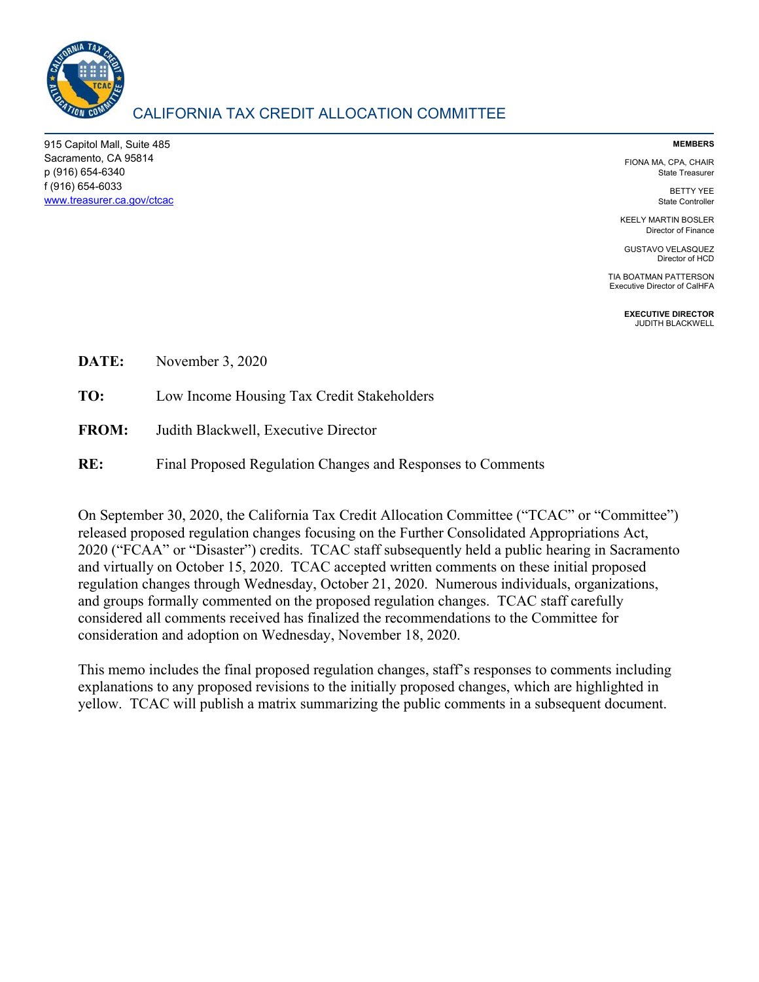

# CALIFORNIA TAX CREDIT ALLOCATION COMMITTEE

915 Capitol Mall, Suite 485 Sacramento, CA 95814 p (916) 654-6340 f (916) 654-6033 www.treasurer.ca.gov/ctcac

#### **MEMBERS**

FIONA MA, CPA, CHAIR State Treasurer

> BETTY YEE State Controller

KEELY MARTIN BOSLER Director of Finance

GUSTAVO VELASQUEZ Director of HCD

TIA BOATMAN PATTERSON Executive Director of CalHFA

> **EXECUTIVE DIRECTOR**  JUDITH BLACKWELL

**DATE:** November 3, 2020

**TO:** Low Income Housing Tax Credit Stakeholders

- **FROM:** Judith Blackwell, Executive Director
- **RE:** Final Proposed Regulation Changes and Responses to Comments

On September 30, 2020, the California Tax Credit Allocation Committee ("TCAC" or "Committee") released proposed regulation changes focusing on the Further Consolidated Appropriations Act, 2020 ("FCAA" or "Disaster") credits. TCAC staff subsequently held a public hearing in Sacramento and virtually on October 15, 2020. TCAC accepted written comments on these initial proposed regulation changes through Wednesday, October 21, 2020. Numerous individuals, organizations, and groups formally commented on the proposed regulation changes. TCAC staff carefully considered all comments received has finalized the recommendations to the Committee for consideration and adoption on Wednesday, November 18, 2020.

This memo includes the final proposed regulation changes, staff's responses to comments including explanations to any proposed revisions to the initially proposed changes, which are highlighted in yellow. TCAC will publish a matrix summarizing the public comments in a subsequent document.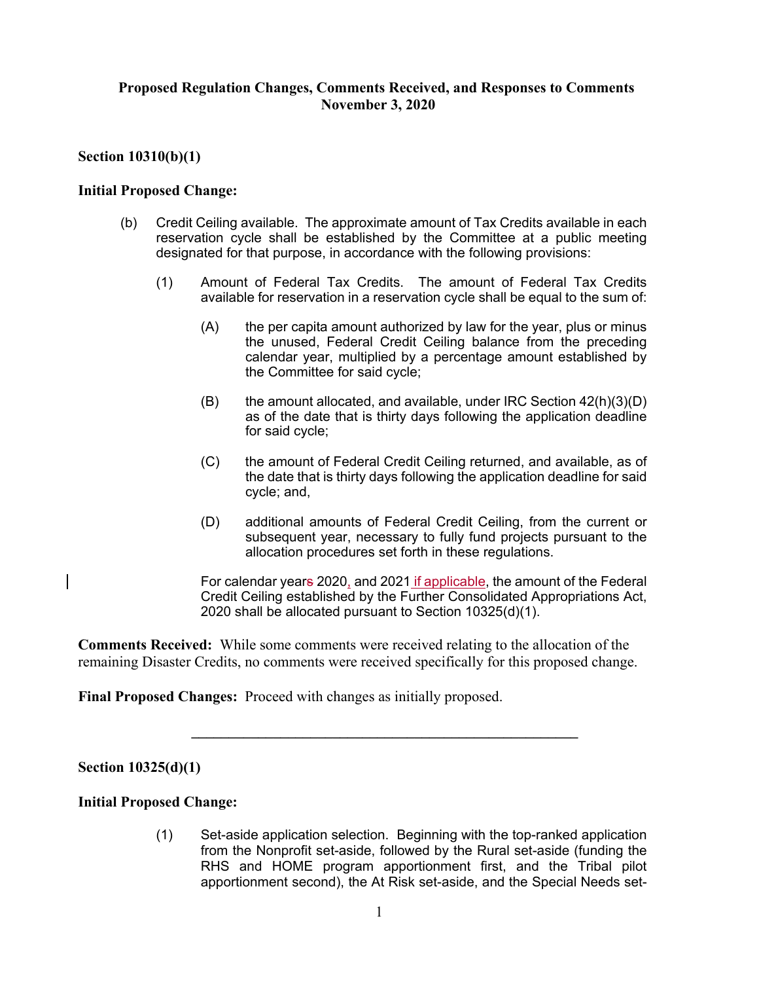# **Proposed Regulation Changes, Comments Received, and Responses to Comments November 3, 2020**

# **Section 10310(b)(1)**

## **Initial Proposed Change:**

- (b) Credit Ceiling available. The approximate amount of Tax Credits available in each reservation cycle shall be established by the Committee at a public meeting designated for that purpose, in accordance with the following provisions:
	- (1) Amount of Federal Tax Credits. The amount of Federal Tax Credits available for reservation in a reservation cycle shall be equal to the sum of:
		- (A) the per capita amount authorized by law for the year, plus or minus the unused, Federal Credit Ceiling balance from the preceding calendar year, multiplied by a percentage amount established by the Committee for said cycle;
		- $(B)$  the amount allocated, and available, under IRC Section  $42(h)(3)(D)$ as of the date that is thirty days following the application deadline for said cycle;
		- (C) the amount of Federal Credit Ceiling returned, and available, as of the date that is thirty days following the application deadline for said cycle; and,
		- (D) additional amounts of Federal Credit Ceiling, from the current or subsequent year, necessary to fully fund projects pursuant to the allocation procedures set forth in these regulations.
		- For calendar years 2020, and 2021 if applicable, the amount of the Federal Credit Ceiling established by the Further Consolidated Appropriations Act, 2020 shall be allocated pursuant to Section 10325(d)(1).

**Comments Received:** While some comments were received relating to the allocation of the remaining Disaster Credits, no comments were received specifically for this proposed change.

**\_\_\_\_\_\_\_\_\_\_\_\_\_\_\_\_\_\_\_\_\_\_\_\_\_\_\_\_\_\_\_\_\_\_\_\_\_\_\_\_\_\_\_\_\_\_\_\_\_\_\_\_** 

**Final Proposed Changes:** Proceed with changes as initially proposed.

### **Section 10325(d)(1)**

### **Initial Proposed Change:**

(1) Set-aside application selection. Beginning with the top-ranked application from the Nonprofit set-aside, followed by the Rural set-aside (funding the RHS and HOME program apportionment first, and the Tribal pilot apportionment second), the At Risk set-aside, and the Special Needs set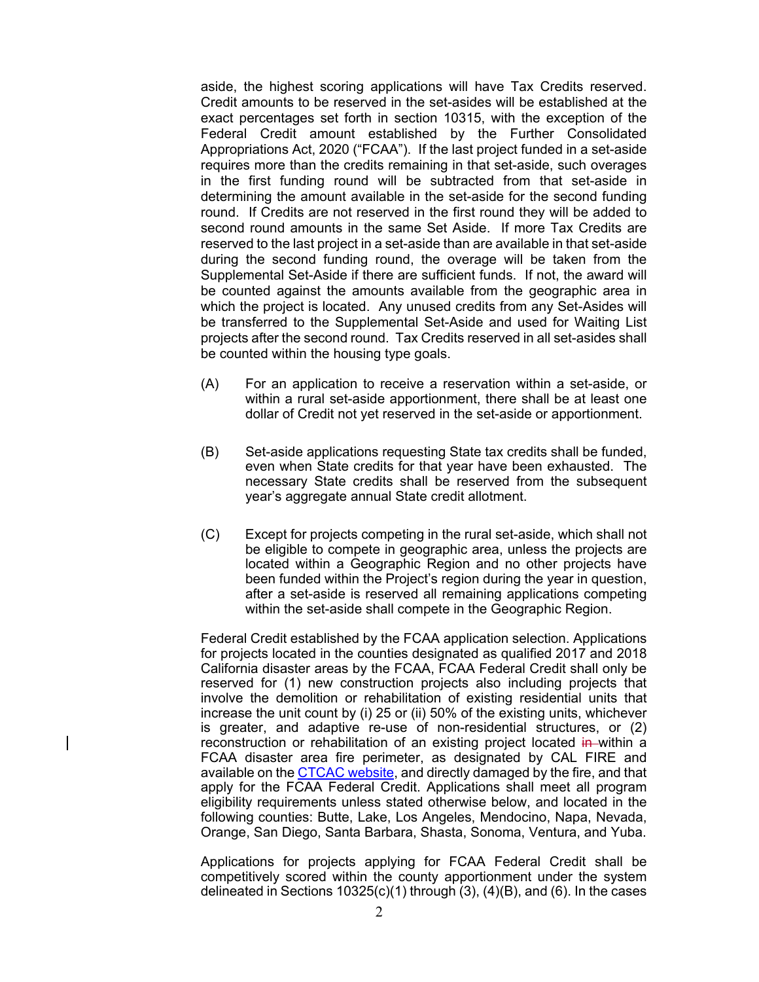aside, the highest scoring applications will have Tax Credits reserved. Credit amounts to be reserved in the set-asides will be established at the exact percentages set forth in section 10315, with the exception of the Federal Credit amount established by the Further Consolidated Appropriations Act, 2020 ("FCAA"). If the last project funded in a set-aside requires more than the credits remaining in that set-aside, such overages in the first funding round will be subtracted from that set-aside in determining the amount available in the set-aside for the second funding round. If Credits are not reserved in the first round they will be added to second round amounts in the same Set Aside. If more Tax Credits are reserved to the last project in a set-aside than are available in that set-aside during the second funding round, the overage will be taken from the Supplemental Set-Aside if there are sufficient funds. If not, the award will be counted against the amounts available from the geographic area in which the project is located. Any unused credits from any Set-Asides will be transferred to the Supplemental Set-Aside and used for Waiting List projects after the second round. Tax Credits reserved in all set-asides shall be counted within the housing type goals.

- (A) For an application to receive a reservation within a set-aside, or within a rural set-aside apportionment, there shall be at least one dollar of Credit not yet reserved in the set-aside or apportionment.
- (B) Set-aside applications requesting State tax credits shall be funded, even when State credits for that year have been exhausted. The necessary State credits shall be reserved from the subsequent year's aggregate annual State credit allotment.
- (C) Except for projects competing in the rural set-aside, which shall not be eligible to compete in geographic area, unless the projects are located within a Geographic Region and no other projects have been funded within the Project's region during the year in question, after a set-aside is reserved all remaining applications competing within the set-aside shall compete in the Geographic Region.

Federal Credit established by the FCAA application selection. Applications for projects located in the counties designated as qualified 2017 and 2018 California disaster areas by the FCAA, FCAA Federal Credit shall only be reserved for (1) new construction projects also including projects that involve the demolition or rehabilitation of existing residential units that increase the unit count by (i) 25 or (ii) 50% of the existing units, whichever is greater, and adaptive re-use of non-residential structures, or (2) reconstruction or rehabilitation of an existing project located in within a FCAA disaster area fire perimeter, as designated by CAL FIRE and available on the **CTCAC website**, and directly damaged by the fire, and that apply for the FCAA Federal Credit. Applications shall meet all program eligibility requirements unless stated otherwise below, and located in the following counties: Butte, Lake, Los Angeles, Mendocino, Napa, Nevada, Orange, San Diego, Santa Barbara, Shasta, Sonoma, Ventura, and Yuba.

Applications for projects applying for FCAA Federal Credit shall be competitively scored within the county apportionment under the system delineated in Sections 10325(c)(1) through (3), (4)(B), and (6). In the cases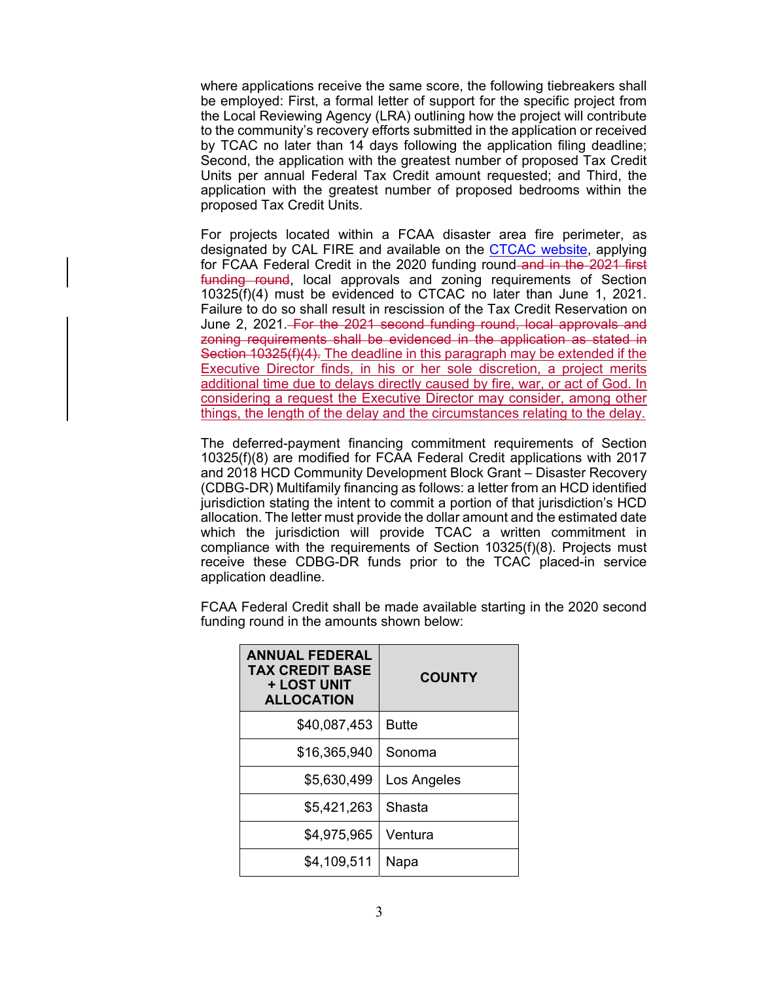where applications receive the same score, the following tiebreakers shall be employed: First, a formal letter of support for the specific project from the Local Reviewing Agency (LRA) outlining how the project will contribute to the community's recovery efforts submitted in the application or received by TCAC no later than 14 days following the application filing deadline; Second, the application with the greatest number of proposed Tax Credit Units per annual Federal Tax Credit amount requested; and Third, the application with the greatest number of proposed bedrooms within the proposed Tax Credit Units.

For projects located within a FCAA disaster area fire perimeter, as designated by CAL FIRE and available on the **CTCAC website**, applying for FCAA Federal Credit in the 2020 funding round-and in the 2021 first funding round, local approvals and zoning requirements of Section 10325(f)(4) must be evidenced to CTCAC no later than June 1, 2021. Failure to do so shall result in rescission of the Tax Credit Reservation on June 2, 2021. For the 2021 second funding round, local approvals and zoning requirements shall be evidenced in the application as stated in Section 10325(f)(4). The deadline in this paragraph may be extended if the Executive Director finds, in his or her sole discretion, a project merits additional time due to delays directly caused by fire, war, or act of God. In considering a request the Executive Director may consider, among other things, the length of the delay and the circumstances relating to the delay.

The deferred-payment financing commitment requirements of Section 10325(f)(8) are modified for FCAA Federal Credit applications with 2017 and 2018 HCD Community Development Block Grant – Disaster Recovery (CDBG-DR) Multifamily financing as follows: a letter from an HCD identified jurisdiction stating the intent to commit a portion of that jurisdiction's HCD allocation. The letter must provide the dollar amount and the estimated date which the jurisdiction will provide TCAC a written commitment in compliance with the requirements of Section 10325(f)(8). Projects must receive these CDBG-DR funds prior to the TCAC placed-in service application deadline.

FCAA Federal Credit shall be made available starting in the 2020 second funding round in the amounts shown below:

| <b>ANNUAL FEDERAL</b><br><b>TAX CREDIT BASE</b><br><b>+ LOST UNIT</b><br><b>ALLOCATION</b> | <b>COUNTY</b> |
|--------------------------------------------------------------------------------------------|---------------|
| \$40,087,453                                                                               | <b>Butte</b>  |
| \$16,365,940                                                                               | Sonoma        |
| \$5,630,499                                                                                | Los Angeles   |
| \$5,421,263                                                                                | Shasta        |
| \$4,975,965                                                                                | Ventura       |
| \$4,109,511                                                                                | Napa          |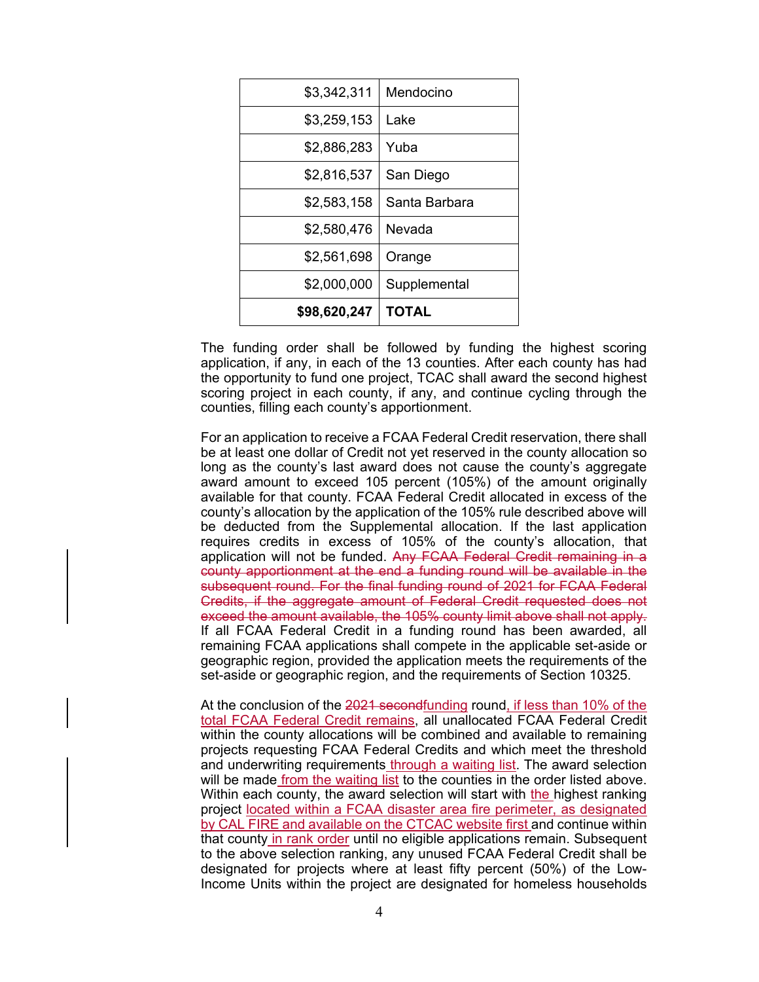| \$3,342,311  | Mendocino     |
|--------------|---------------|
| \$3,259,153  | Lake          |
| \$2,886,283  | Yuba          |
| \$2,816,537  | San Diego     |
| \$2,583,158  | Santa Barbara |
| \$2,580,476  | Nevada        |
| \$2,561,698  | Orange        |
| \$2,000,000  | Supplemental  |
| \$98,620,247 | <b>TOTAL</b>  |

The funding order shall be followed by funding the highest scoring application, if any, in each of the 13 counties. After each county has had the opportunity to fund one project, TCAC shall award the second highest scoring project in each county, if any, and continue cycling through the counties, filling each county's apportionment.

For an application to receive a FCAA Federal Credit reservation, there shall be at least one dollar of Credit not yet reserved in the county allocation so long as the county's last award does not cause the county's aggregate award amount to exceed 105 percent (105%) of the amount originally available for that county. FCAA Federal Credit allocated in excess of the county's allocation by the application of the 105% rule described above will be deducted from the Supplemental allocation. If the last application requires credits in excess of 105% of the county's allocation, that application will not be funded. Any FCAA Federal Credit remaining in a county apportionment at the end a funding round will be available in the subsequent round. For the final funding round of 2021 for FCAA Federal Credits, if the aggregate amount of Federal Credit requested does not exceed the amount available, the 105% county limit above shall not apply. If all FCAA Federal Credit in a funding round has been awarded, all remaining FCAA applications shall compete in the applicable set-aside or geographic region, provided the application meets the requirements of the set-aside or geographic region, and the requirements of Section 10325.

At the conclusion of the 2021 secondfunding round, if less than 10% of the total FCAA Federal Credit remains, all unallocated FCAA Federal Credit within the county allocations will be combined and available to remaining projects requesting FCAA Federal Credits and which meet the threshold and underwriting requirements through a waiting list. The award selection will be made from the waiting list to the counties in the order listed above. Within each county, the award selection will start with the highest ranking project located within a FCAA disaster area fire perimeter, as designated by CAL FIRE and available on the CTCAC website first and continue within that county in rank order until no eligible applications remain. Subsequent to the above selection ranking, any unused FCAA Federal Credit shall be designated for projects where at least fifty percent (50%) of the Low-Income Units within the project are designated for homeless households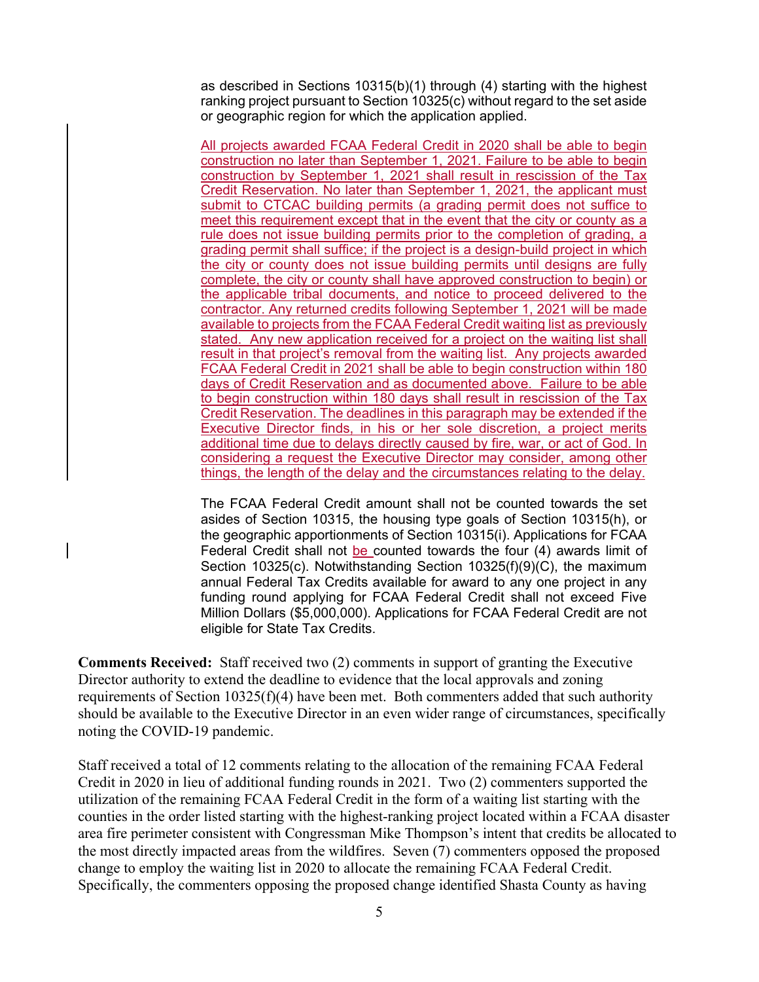as described in Sections 10315(b)(1) through (4) starting with the highest ranking project pursuant to Section 10325(c) without regard to the set aside or geographic region for which the application applied.

All projects awarded FCAA Federal Credit in 2020 shall be able to begin construction no later than September 1, 2021. Failure to be able to begin construction by September 1, 2021 shall result in rescission of the Tax Credit Reservation. No later than September 1, 2021, the applicant must submit to CTCAC building permits (a grading permit does not suffice to meet this requirement except that in the event that the city or county as a rule does not issue building permits prior to the completion of grading, a grading permit shall suffice; if the project is a design-build project in which the city or county does not issue building permits until designs are fully complete, the city or county shall have approved construction to begin) or the applicable tribal documents, and notice to proceed delivered to the contractor. Any returned credits following September 1, 2021 will be made available to projects from the FCAA Federal Credit waiting list as previously stated. Any new application received for a project on the waiting list shall result in that project's removal from the waiting list. Any projects awarded FCAA Federal Credit in 2021 shall be able to begin construction within 180 days of Credit Reservation and as documented above. Failure to be able to begin construction within 180 days shall result in rescission of the Tax Credit Reservation. The deadlines in this paragraph may be extended if the Executive Director finds, in his or her sole discretion, a project merits additional time due to delays directly caused by fire, war, or act of God. In considering a request the Executive Director may consider, among other things, the length of the delay and the circumstances relating to the delay.

The FCAA Federal Credit amount shall not be counted towards the set asides of Section 10315, the housing type goals of Section 10315(h), or the geographic apportionments of Section 10315(i). Applications for FCAA Federal Credit shall not be counted towards the four (4) awards limit of Section 10325(c). Notwithstanding Section 10325(f)(9)(C), the maximum annual Federal Tax Credits available for award to any one project in any funding round applying for FCAA Federal Credit shall not exceed Five Million Dollars (\$5,000,000). Applications for FCAA Federal Credit are not eligible for State Tax Credits.

**Comments Received:** Staff received two (2) comments in support of granting the Executive Director authority to extend the deadline to evidence that the local approvals and zoning requirements of Section  $10325(f)(4)$  have been met. Both commenters added that such authority should be available to the Executive Director in an even wider range of circumstances, specifically noting the COVID-19 pandemic.

Staff received a total of 12 comments relating to the allocation of the remaining FCAA Federal Credit in 2020 in lieu of additional funding rounds in 2021. Two (2) commenters supported the utilization of the remaining FCAA Federal Credit in the form of a waiting list starting with the counties in the order listed starting with the highest-ranking project located within a FCAA disaster area fire perimeter consistent with Congressman Mike Thompson's intent that credits be allocated to the most directly impacted areas from the wildfires. Seven (7) commenters opposed the proposed change to employ the waiting list in 2020 to allocate the remaining FCAA Federal Credit. Specifically, the commenters opposing the proposed change identified Shasta County as having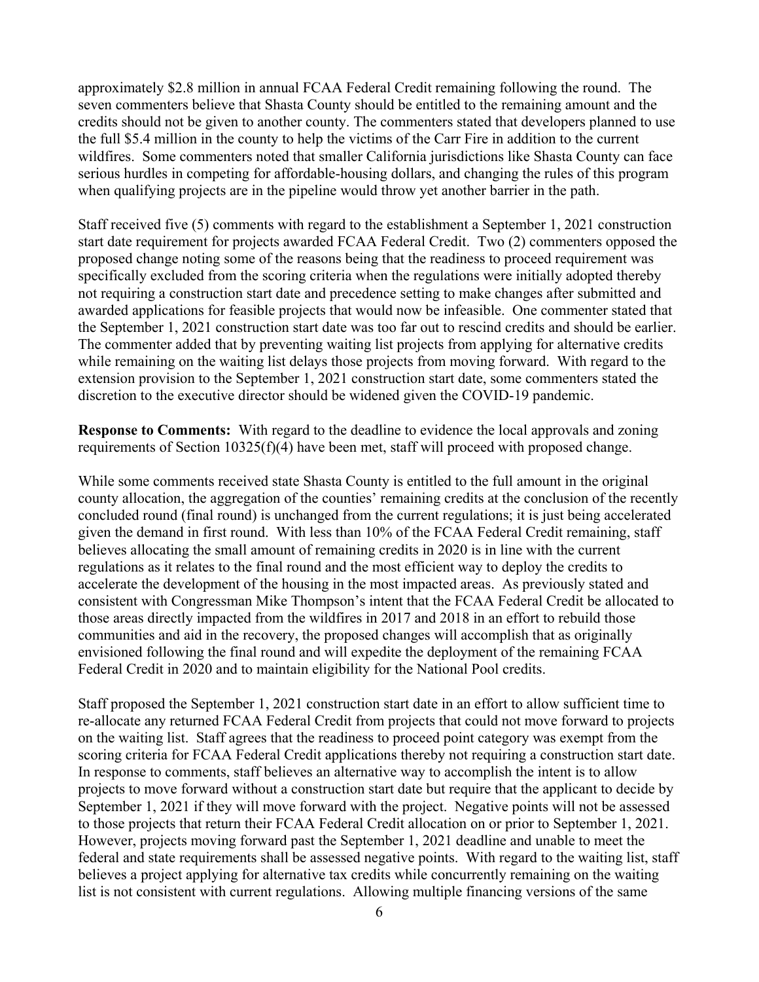approximately \$2.8 million in annual FCAA Federal Credit remaining following the round. The seven commenters believe that Shasta County should be entitled to the remaining amount and the credits should not be given to another county. The commenters stated that developers planned to use the full \$5.4 million in the county to help the victims of the Carr Fire in addition to the current wildfires. Some commenters noted that smaller California jurisdictions like Shasta County can face serious hurdles in competing for affordable-housing dollars, and changing the rules of this program when qualifying projects are in the pipeline would throw yet another barrier in the path.

Staff received five (5) comments with regard to the establishment a September 1, 2021 construction start date requirement for projects awarded FCAA Federal Credit. Two (2) commenters opposed the proposed change noting some of the reasons being that the readiness to proceed requirement was specifically excluded from the scoring criteria when the regulations were initially adopted thereby not requiring a construction start date and precedence setting to make changes after submitted and awarded applications for feasible projects that would now be infeasible. One commenter stated that the September 1, 2021 construction start date was too far out to rescind credits and should be earlier. The commenter added that by preventing waiting list projects from applying for alternative credits while remaining on the waiting list delays those projects from moving forward. With regard to the extension provision to the September 1, 2021 construction start date, some commenters stated the discretion to the executive director should be widened given the COVID-19 pandemic.

**Response to Comments:** With regard to the deadline to evidence the local approvals and zoning requirements of Section 10325(f)(4) have been met, staff will proceed with proposed change.

While some comments received state Shasta County is entitled to the full amount in the original county allocation, the aggregation of the counties' remaining credits at the conclusion of the recently concluded round (final round) is unchanged from the current regulations; it is just being accelerated given the demand in first round. With less than 10% of the FCAA Federal Credit remaining, staff believes allocating the small amount of remaining credits in 2020 is in line with the current regulations as it relates to the final round and the most efficient way to deploy the credits to accelerate the development of the housing in the most impacted areas. As previously stated and consistent with Congressman Mike Thompson's intent that the FCAA Federal Credit be allocated to those areas directly impacted from the wildfires in 2017 and 2018 in an effort to rebuild those communities and aid in the recovery, the proposed changes will accomplish that as originally envisioned following the final round and will expedite the deployment of the remaining FCAA Federal Credit in 2020 and to maintain eligibility for the National Pool credits.

Staff proposed the September 1, 2021 construction start date in an effort to allow sufficient time to re-allocate any returned FCAA Federal Credit from projects that could not move forward to projects on the waiting list. Staff agrees that the readiness to proceed point category was exempt from the scoring criteria for FCAA Federal Credit applications thereby not requiring a construction start date. In response to comments, staff believes an alternative way to accomplish the intent is to allow projects to move forward without a construction start date but require that the applicant to decide by September 1, 2021 if they will move forward with the project. Negative points will not be assessed to those projects that return their FCAA Federal Credit allocation on or prior to September 1, 2021. However, projects moving forward past the September 1, 2021 deadline and unable to meet the federal and state requirements shall be assessed negative points. With regard to the waiting list, staff believes a project applying for alternative tax credits while concurrently remaining on the waiting list is not consistent with current regulations. Allowing multiple financing versions of the same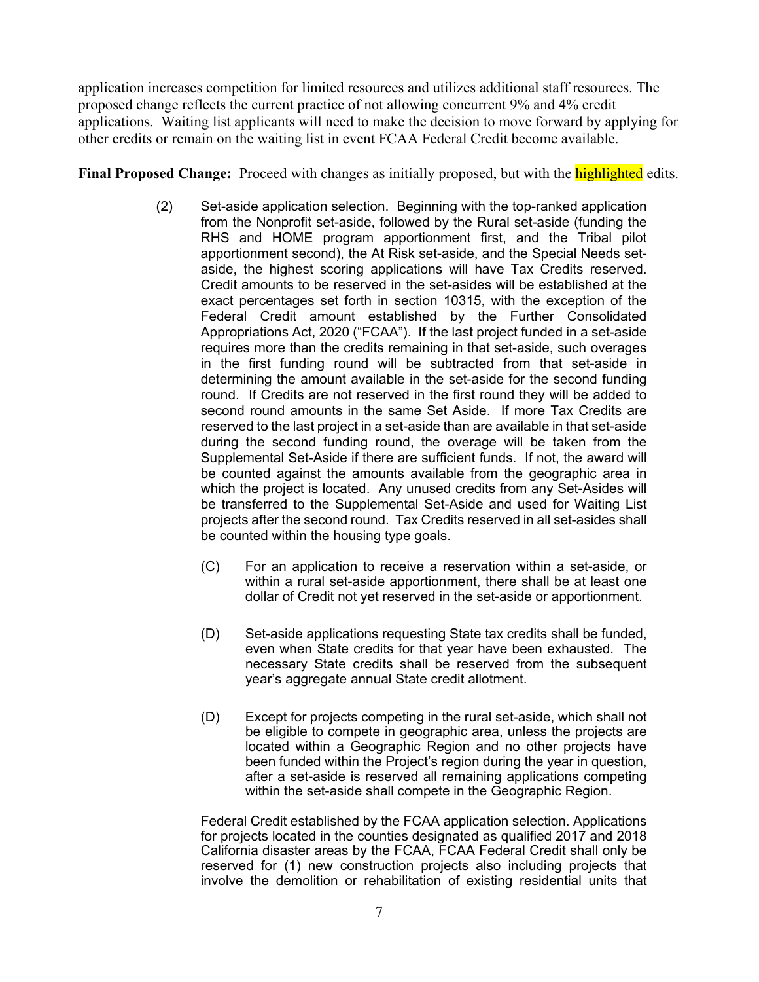application increases competition for limited resources and utilizes additional staff resources. The proposed change reflects the current practice of not allowing concurrent 9% and 4% credit applications. Waiting list applicants will need to make the decision to move forward by applying for other credits or remain on the waiting list in event FCAA Federal Credit become available.

**Final Proposed Change:** Proceed with changes as initially proposed, but with the highlighted edits.

- (2) Set-aside application selection. Beginning with the top-ranked application from the Nonprofit set-aside, followed by the Rural set-aside (funding the RHS and HOME program apportionment first, and the Tribal pilot apportionment second), the At Risk set-aside, and the Special Needs setaside, the highest scoring applications will have Tax Credits reserved. Credit amounts to be reserved in the set-asides will be established at the exact percentages set forth in section 10315, with the exception of the Federal Credit amount established by the Further Consolidated Appropriations Act, 2020 ("FCAA"). If the last project funded in a set-aside requires more than the credits remaining in that set-aside, such overages in the first funding round will be subtracted from that set-aside in determining the amount available in the set-aside for the second funding round. If Credits are not reserved in the first round they will be added to second round amounts in the same Set Aside. If more Tax Credits are reserved to the last project in a set-aside than are available in that set-aside during the second funding round, the overage will be taken from the Supplemental Set-Aside if there are sufficient funds. If not, the award will be counted against the amounts available from the geographic area in which the project is located. Any unused credits from any Set-Asides will be transferred to the Supplemental Set-Aside and used for Waiting List projects after the second round. Tax Credits reserved in all set-asides shall be counted within the housing type goals.
	- (C) For an application to receive a reservation within a set-aside, or within a rural set-aside apportionment, there shall be at least one dollar of Credit not yet reserved in the set-aside or apportionment.
	- (D) Set-aside applications requesting State tax credits shall be funded, even when State credits for that year have been exhausted. The necessary State credits shall be reserved from the subsequent year's aggregate annual State credit allotment.
	- (D) Except for projects competing in the rural set-aside, which shall not be eligible to compete in geographic area, unless the projects are located within a Geographic Region and no other projects have been funded within the Project's region during the year in question, after a set-aside is reserved all remaining applications competing within the set-aside shall compete in the Geographic Region.

Federal Credit established by the FCAA application selection. Applications for projects located in the counties designated as qualified 2017 and 2018 California disaster areas by the FCAA, FCAA Federal Credit shall only be reserved for (1) new construction projects also including projects that involve the demolition or rehabilitation of existing residential units that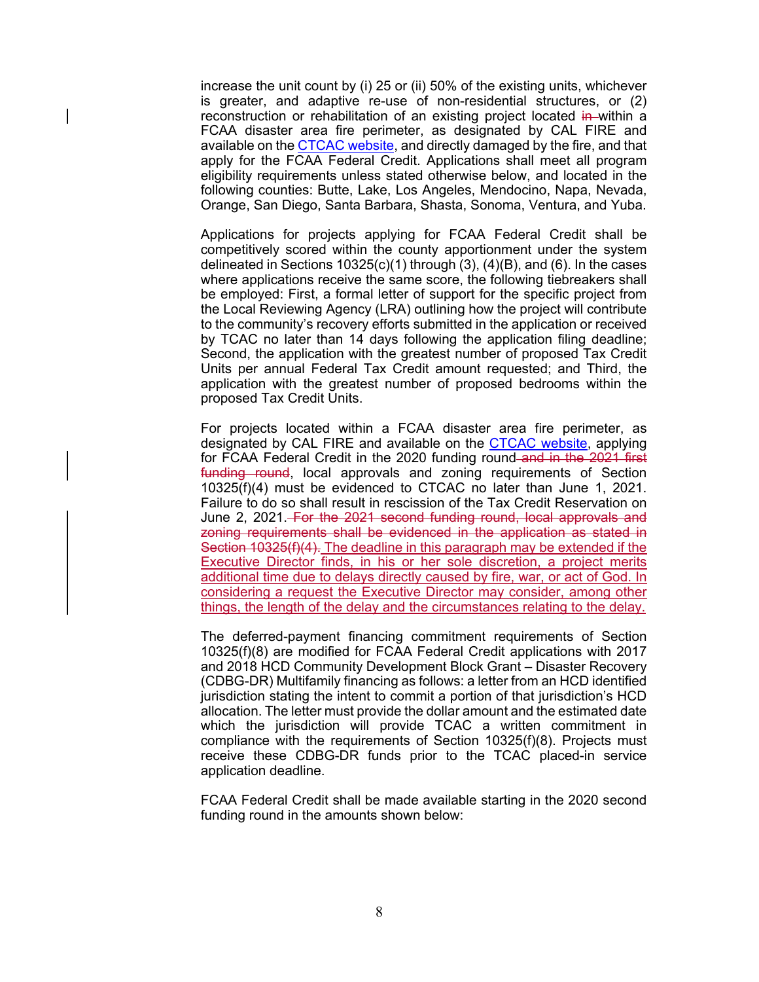increase the unit count by (i) 25 or (ii) 50% of the existing units, whichever is greater, and adaptive re-use of non-residential structures, or (2) reconstruction or rehabilitation of an existing project located in within a FCAA disaster area fire perimeter, as designated by CAL FIRE and available on the CTCAC website, and directly damaged by the fire, and that apply for the FCAA Federal Credit. Applications shall meet all program eligibility requirements unless stated otherwise below, and located in the following counties: Butte, Lake, Los Angeles, Mendocino, Napa, Nevada, Orange, San Diego, Santa Barbara, Shasta, Sonoma, Ventura, and Yuba.

Applications for projects applying for FCAA Federal Credit shall be competitively scored within the county apportionment under the system delineated in Sections 10325(c)(1) through (3), (4)(B), and (6). In the cases where applications receive the same score, the following tiebreakers shall be employed: First, a formal letter of support for the specific project from the Local Reviewing Agency (LRA) outlining how the project will contribute to the community's recovery efforts submitted in the application or received by TCAC no later than 14 days following the application filing deadline; Second, the application with the greatest number of proposed Tax Credit Units per annual Federal Tax Credit amount requested; and Third, the application with the greatest number of proposed bedrooms within the proposed Tax Credit Units.

For projects located within a FCAA disaster area fire perimeter, as designated by CAL FIRE and available on the **CTCAC website**, applying for FCAA Federal Credit in the 2020 funding round and in the 2021 first funding round, local approvals and zoning requirements of Section 10325(f)(4) must be evidenced to CTCAC no later than June 1, 2021. Failure to do so shall result in rescission of the Tax Credit Reservation on June 2, 2021. For the 2021 second funding round, local approvals and zoning requirements shall be evidenced in the application as stated in Section 10325(f)(4). The deadline in this paragraph may be extended if the Executive Director finds, in his or her sole discretion, a project merits additional time due to delays directly caused by fire, war, or act of God. In considering a request the Executive Director may consider, among other things, the length of the delay and the circumstances relating to the delay.

The deferred-payment financing commitment requirements of Section 10325(f)(8) are modified for FCAA Federal Credit applications with 2017 and 2018 HCD Community Development Block Grant – Disaster Recovery (CDBG-DR) Multifamily financing as follows: a letter from an HCD identified jurisdiction stating the intent to commit a portion of that jurisdiction's HCD allocation. The letter must provide the dollar amount and the estimated date which the jurisdiction will provide TCAC a written commitment in compliance with the requirements of Section 10325(f)(8). Projects must receive these CDBG-DR funds prior to the TCAC placed-in service application deadline.

FCAA Federal Credit shall be made available starting in the 2020 second funding round in the amounts shown below: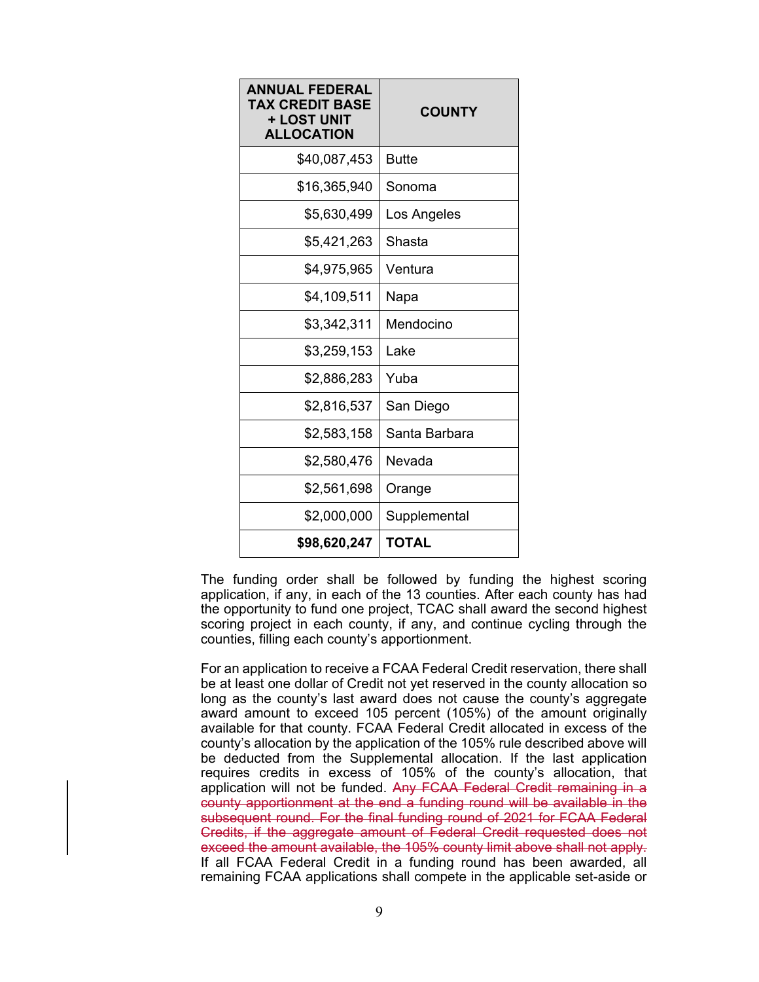| ANNUAL FEDERAL<br>TAX CREDIT BASE<br>+ LOST UNIT<br><b>ALLOCATION</b> | <b>COUNTY</b> |
|-----------------------------------------------------------------------|---------------|
| \$40,087,453                                                          | <b>Butte</b>  |
| \$16,365,940                                                          | Sonoma        |
| \$5,630,499                                                           | Los Angeles   |
| \$5,421,263                                                           | Shasta        |
| \$4,975,965                                                           | Ventura       |
| \$4,109,511                                                           | Napa          |
| \$3,342,311                                                           | Mendocino     |
| \$3,259,153                                                           | Lake          |
| \$2,886,283                                                           | Yuba          |
| \$2,816,537                                                           | San Diego     |
| \$2,583,158                                                           | Santa Barbara |
| \$2,580,476                                                           | Nevada        |
| \$2,561,698                                                           | Orange        |
| \$2,000,000                                                           | Supplemental  |
| \$98,620,247                                                          | TOTAL         |

The funding order shall be followed by funding the highest scoring application, if any, in each of the 13 counties. After each county has had the opportunity to fund one project, TCAC shall award the second highest scoring project in each county, if any, and continue cycling through the counties, filling each county's apportionment.

For an application to receive a FCAA Federal Credit reservation, there shall be at least one dollar of Credit not yet reserved in the county allocation so long as the county's last award does not cause the county's aggregate award amount to exceed 105 percent (105%) of the amount originally available for that county. FCAA Federal Credit allocated in excess of the county's allocation by the application of the 105% rule described above will be deducted from the Supplemental allocation. If the last application requires credits in excess of 105% of the county's allocation, that application will not be funded. Any FCAA Federal Credit remaining in a county apportionment at the end a funding round will be available in the subsequent round. For the final funding round of 2021 for FCAA Federal Credits, if the aggregate amount of Federal Credit requested does not exceed the amount available, the 105% county limit above shall not apply. If all FCAA Federal Credit in a funding round has been awarded, all remaining FCAA applications shall compete in the applicable set-aside or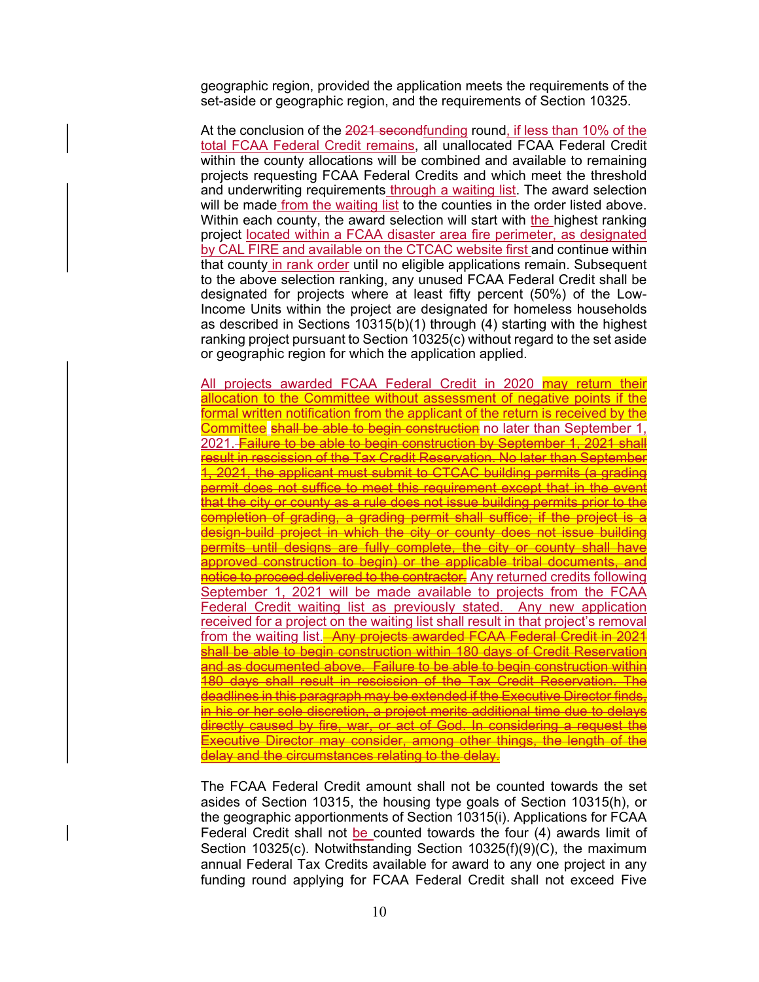geographic region, provided the application meets the requirements of the set-aside or geographic region, and the requirements of Section 10325.

At the conclusion of the 2021 secondfunding round, if less than 10% of the total FCAA Federal Credit remains, all unallocated FCAA Federal Credit within the county allocations will be combined and available to remaining projects requesting FCAA Federal Credits and which meet the threshold and underwriting requirements through a waiting list. The award selection will be made from the waiting list to the counties in the order listed above. Within each county, the award selection will start with the highest ranking project located within a FCAA disaster area fire perimeter, as designated by CAL FIRE and available on the CTCAC website first and continue within that county in rank order until no eligible applications remain. Subsequent to the above selection ranking, any unused FCAA Federal Credit shall be designated for projects where at least fifty percent (50%) of the Low-Income Units within the project are designated for homeless households as described in Sections 10315(b)(1) through (4) starting with the highest ranking project pursuant to Section 10325(c) without regard to the set aside or geographic region for which the application applied.

All projects awarded FCAA Federal Credit in 2020 may return their allocation to the Committee without assessment of negative points if the formal written notification from the applicant of the return is received by the Committee shall be able to begin construction no later than September 1, 2021. Failure to be able to begin construction by September 1, 2021 shall result in rescission of the Tax Credit Reservation. No later than September 1, 2021, the applicant must submit to CTCAC building permits (a grading permit does not suffice to meet this requirement except that in the event that the city or county as a rule does not issue building permits prior to the completion of grading, a grading permit shall suffice; if the project is a design-build project in which the city or county does not issue building permits until designs are fully complete, the city or county shall have approved construction to begin) or the applicable tribal documents, and notice to proceed delivered to the contractor. Any returned credits following September 1, 2021 will be made available to projects from the FCAA Federal Credit waiting list as previously stated. Any new application received for a project on the waiting list shall result in that project's removal from the waiting list. Any projects awarded FCAA Federal Credit in 2021 shall be able to begin construction within 180 days of Credit Reservation and as documented above. Failure to be able to begin construction within 180 days shall result in rescission of the Tax Credit Reservation. The deadlines in this paragraph may be extended if the Executive Director finds, in his or her sole discretion, a project merits additional time due to delays directly caused by fire, war, or act of God. In considering a request the Executive Director may consider, among other things, the length of the delay and the circumstances relating to the delay.

The FCAA Federal Credit amount shall not be counted towards the set asides of Section 10315, the housing type goals of Section 10315(h), or the geographic apportionments of Section 10315(i). Applications for FCAA Federal Credit shall not be counted towards the four (4) awards limit of Section 10325(c). Notwithstanding Section 10325(f)(9)(C), the maximum annual Federal Tax Credits available for award to any one project in any funding round applying for FCAA Federal Credit shall not exceed Five